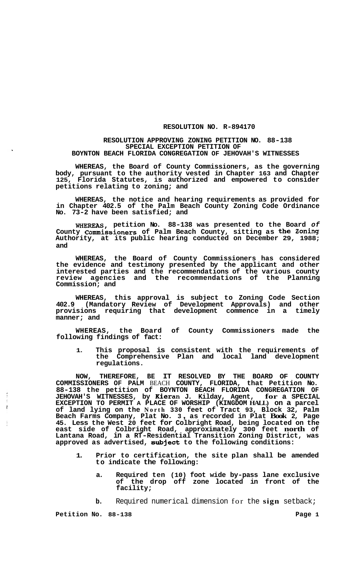## **RESOLUTION NO. R-894170**

## **RESOLUTION APPROVING ZONING PETITION NO. 88-138 SPECIAL EXCEPTION PETITION OF BOYNTON BEACH FLORIDA CONGREGATION OF JEHOVAH'S WITNESSES**

**WHEREAS, the Board of County Commissioners, as the governing body, pursuant to the authority vested in Chapter 163 and Chapter 125, Florida Statutes, is authorized and empowered to consider petitions relating to zoning; and** 

**WHEREAS, the notice and hearing requirements as provided for in Chapter 402.5 of the Palm Beach County Zoning Code Ordinance No. 73-2 have been satisfied; and** 

**WHEREAS, petition No. 88-138 was presented to the Board** *of*  **County commissioners of Palm Beach County, sitting as the Zoning Authority, at its public hearing conducted on December 29, 1988; and** 

**WHEREAS, the Board of County Commissioners has considered the evidence and testimony presented by the applicant and other interested parties and the recommendations of the various county review agencies and the recommendations of the Planning Commission; and** 

**WHEREAS, this approval is subject to Zoning Code Section 402.9 (Mandatory Review of Development Approvals) and other provisions requiring that development commence in a timely manner; and** 

**WHEREAS, the Board of County Commissioners made the following findings of fact:** 

**1. This proposal is consistent with the requirements of the Comprehensive Plan and local land development regulations.** 

**NOW, THEREFORE, BE IT RESOLVED BY THE BOARD OF COUNTY COMMISSIONERS OF PALM** BEACH **COUNTY, FLORIDA, that Petition No. 88-138 the petition of BOYNTON BEACH FLORIDA CONGREGATION OF JEHOVAH'S WITNESSES, by Kieran J. Kilday, Agent, for a SPECIAL EXCEPTION TO PERMIT A PLACE OF WORSHIP (KINGDOM HALL) on a parcel of land lying on the North 330 feet of Tract 93, Block 32, Palm Beach Farms Company, Plat No. 3** , **as recorded in Plat Book 2, Page 45. Less the West 20 feet for Colbright Road, being located on the east side of Colbright Road, approximately 300 feet north of Lantana Road, in a RT-Residential Transition Zoning District, was approved as advertised, subject to the following conditions:** 

- **1. Prior to certification, the site plan shall be amended to indicate the following:** 
	- **a. Required ten (10) foot wide by-pass lane exclusive of the drop off zone located in front of the facility;**
	- **b.** Required numerical dimension for the **sign** setback;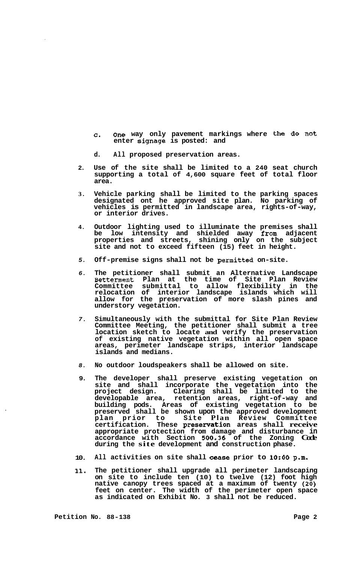- **C. One way only pavement markings where the do not enter signage is posted: and**
- **d. All proposed preservation areas.**
- **2. Use of the site shall be limited to a 240 seat church supporting a total of 4,600 square feet of total floor area.**
- **3. Vehicle parking shall be limited to the parking spaces designated ont he approved site plan. No parking of vehicles is permitted in landscape area, rights-of-way, or interior drives.**
- **4. Outdoor lighting used to illuminate the premises shall be low intensity and shielded away from adjacent properties and streets, shining only on the subject site and not to exceed fifteen (15) feet in height.**
- *5.*  **Off-premise signs shall not be permitted on-site.**
- *6.*  **The petitioner shall submit an Alternative Landscape Betterment Plan at the time of Site Plan Review Committee submittal to allow flexibility in the relocation of interior landscape islands which will allow for the preservation of more slash pines and understory vegetation.**
- *7.*  **Simultaneously with the submittal for Site Plan Review Committee Meeting, the petitioner shall submit a tree location sketch to locate and verify the preservation of existing native vegetation within all open space areas, perimeter landscape strips, interior landscape islands and medians.**
- *8.*  **No outdoor loudspeakers shall be allowed on site.**
- **9. The developer shall preserve existing vegetation on site and shall incorporate the vegetation into the pro j ect design. Clearing shall be limited to the developable area, retention areas, right-of-way and building pods. Areas of existing vegetation to be preserved shall be shown upon the approved development plan prior to Site Plan Review Committee certification. These presenration areas shall receive appropriate protection from damage and disturbance in accordance with Section** *500-36* **of the Zoning Code during the site development and construction phase.**
- **10. All activities on site shall cease prior to 1O:OO p.m.**
- **11. The petitioner shall upgrade all perimeter landscaping on site to include ten (10) to twelve (12) foot high native canopy trees spaced at a maximum of twenty (20) feet on center. The width of the perimeter open space as indicated on Exhibit No. 3 shall not be reduced.**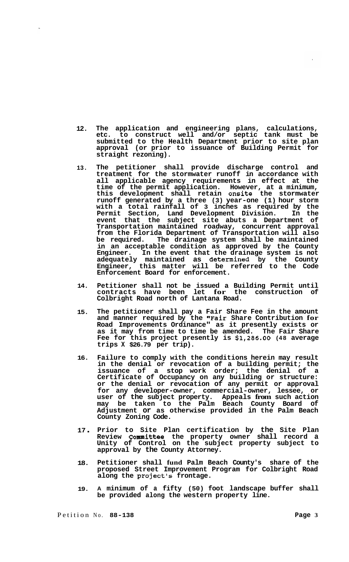- **12. The application and engineering plans, calculations, etc. to construct well and/or septic tank must be submitted to the Health Department prior to site plan approval (or prior to issuance of Building Permit for straight rezoning).**
- **13. The petitioner shall provide discharge control and treatment for the stormwater runoff in accordance with all applicable agency requirements in effect at the time of the permit application. However, at a minimum, this development shall retain onsite the stormwater runoff generated by a three (3) year-one (1) hour storm with a total rainfall of 3 inches as required by the Permit Section, Land Development Division. In the event that the subject site abuts a Department of Transportation maintained roadway, concurrent approval from the Florida Department of Transportation will also be required. The drainage system shall be maintained in an acceptable condition as approved by the County Engineer. In the event that the drainage system is not adequately maintained as determined by the County Engineer, this matter will be referred to the Code Enforcement Board for enforcement.**
- **14. Petitioner shall not be issued a Building Permit until contracts have been let for the construction of Colbright Road north of Lantana Road.**
- **15. The petitioner shall pay a Fair Share Fee in the amount and manner required by the "Fair Share Contribution for Road Improvements Ordinance" as it presently exists or as it may from time to time be amended. The Fair Share Fee for this project presently is \$1,286.00 (48 average trips X \$26.79 per trip).**
- **16. Failure to comply with the conditions herein may result in the denial or revocation of a building permit; the issuance of a stop work order; the denial of a Certificate of Occupancy on any building or structure: or the denial or revocation of any permit or approval for any developer-owner, commercial-owner, lessee, or user of the subject property. Appeals from such action may be taken to the Palm Beach County Board of Adjustment or as otherwise provided in the Palm Beach County Zoning Code.**
- **<sup>17</sup>**. **Prior to Site Plan certification by the Site Plan Review Committee the property owner shall record a Unity of Control on the subject property subject to approval by the County Attorney.**
- **18. Petitioner shall fund Palm Beach County's share of the proposed Street Improvement Program for Colbright Road along the project's frontage.**
- **19. A minimum of a fifty (50) foot landscape buffer shall be provided along the western property line.**